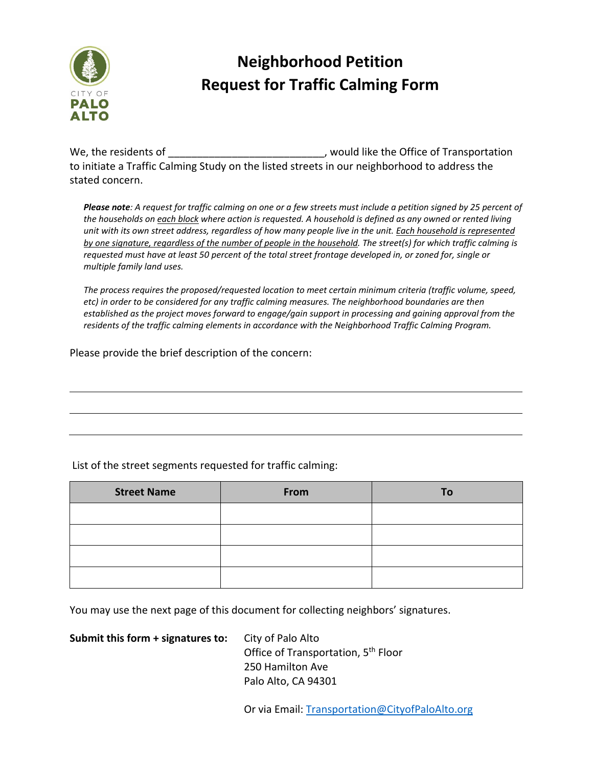

## **Neighborhood Petition Request for Traffic Calming Form**

We, the residents of  $\rule{1em}{0.15mm}$  would like the Office of Transportation to initiate a Traffic Calming Study on the listed streets in our neighborhood to address the stated concern.

Please note: A request for traffic calming on one or a few streets must include a petition signed by 25 percent of the households on each block where action is requested. A household is defined as any owned or rented living unit with its own street address, regardless of how many people live in the unit. Each household is represented by one signature, regardless of the number of people in the household. The street(s) for which traffic calming is requested must have at least 50 percent of the total street frontage developed in, or zoned for, single or *multiple family land uses.* 

*The process requires the proposed/requested location to meet certain minimum criteria (traffic volume, speed, etc) in order to be considered for any traffic calming measures. The neighborhood boundaries are then established as the project moves forward to engage/gain support in processing and gaining approval from the residents of the traffic calming elements in accordance with the Neighborhood Traffic Calming Program.*

Please provide the brief description of the concern:

## List of the street segments requested for traffic calming:

| <b>Street Name</b> | From | To |
|--------------------|------|----|
|                    |      |    |
|                    |      |    |
|                    |      |    |
|                    |      |    |

You may use the next page of this document for collecting neighbors' signatures.

**Submit this form + signatures to:** City of Palo Alto

Office of Transportation, 5<sup>th</sup> Floor 250 Hamilton Ave Palo Alto, CA 94301

Or via Email: Transportation@CityofPaloAlto.org